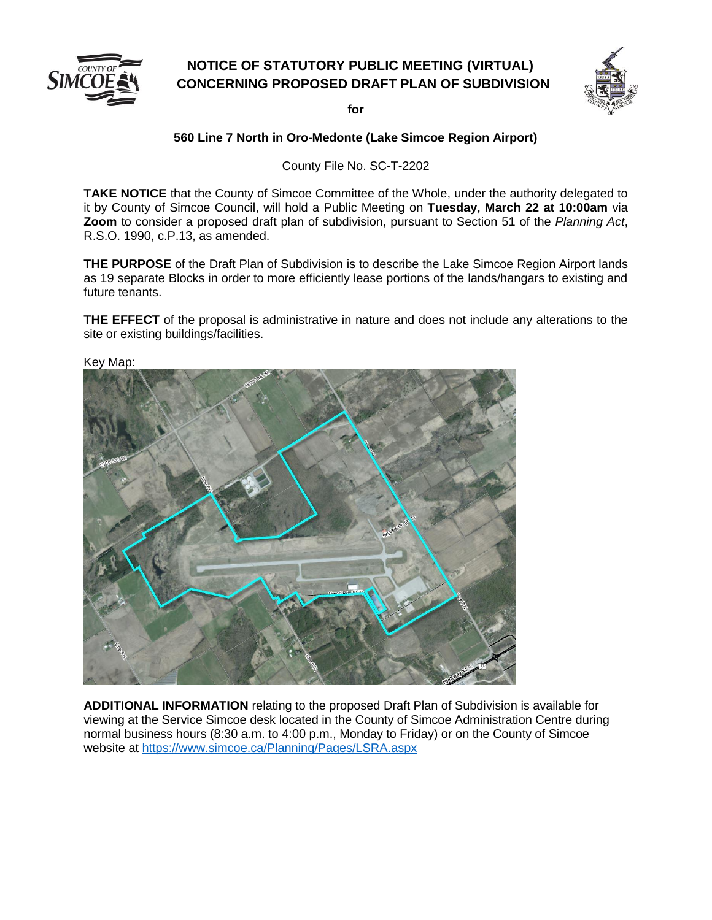

## **NOTICE OF STATUTORY PUBLIC MEETING (VIRTUAL) CONCERNING PROPOSED DRAFT PLAN OF SUBDIVISION**



**for**

## **560 Line 7 North in Oro-Medonte (Lake Simcoe Region Airport)**

County File No. SC-T-2202

**TAKE NOTICE** that the County of Simcoe Committee of the Whole, under the authority delegated to it by County of Simcoe Council, will hold a Public Meeting on **Tuesday, March 22 at 10:00am** via **Zoom** to consider a proposed draft plan of subdivision, pursuant to Section 51 of the *Planning Act*, R.S.O. 1990, c.P.13, as amended.

**THE PURPOSE** of the Draft Plan of Subdivision is to describe the Lake Simcoe Region Airport lands as 19 separate Blocks in order to more efficiently lease portions of the lands/hangars to existing and future tenants.

**THE EFFECT** of the proposal is administrative in nature and does not include any alterations to the site or existing buildings/facilities.



**ADDITIONAL INFORMATION** relating to the proposed Draft Plan of Subdivision is available for viewing at the Service Simcoe desk located in the County of Simcoe Administration Centre during normal business hours (8:30 a.m. to 4:00 p.m., Monday to Friday) or on the County of Simcoe website at <https://www.simcoe.ca/Planning/Pages/LSRA.aspx>